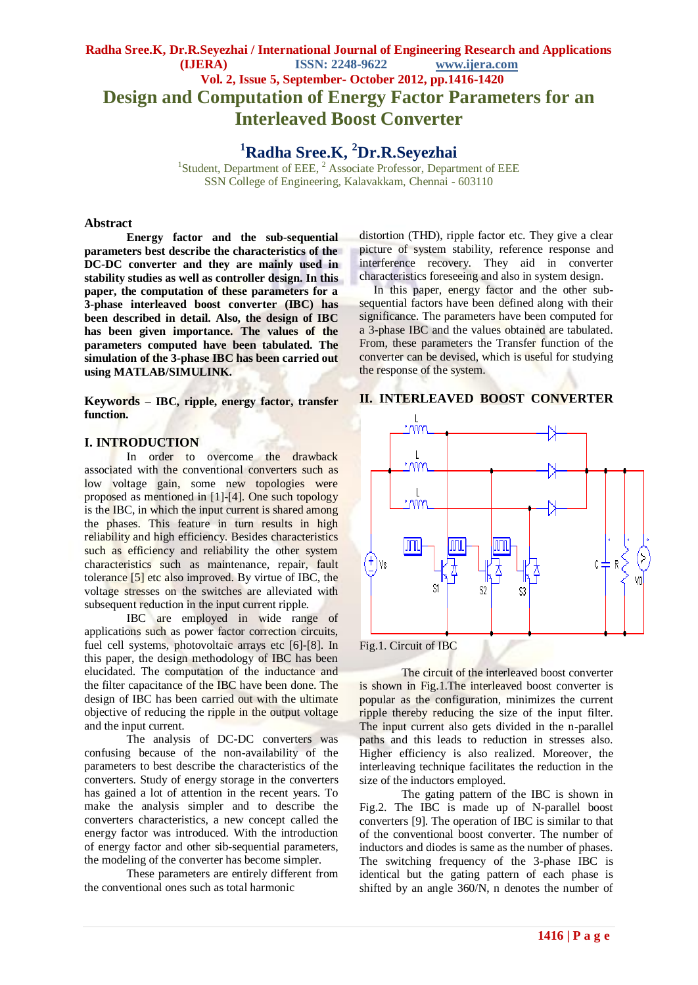# **Radha Sree.K, Dr.R.Seyezhai / International Journal of Engineering Research and Applications (IJERA) ISSN: 2248-9622 www.ijera.com Vol. 2, Issue 5, September- October 2012, pp.1416-1420 Design and Computation of Energy Factor Parameters for an Interleaved Boost Converter**

**<sup>1</sup>Radha Sree.K, <sup>2</sup>Dr.R.Seyezhai**

<sup>1</sup>Student, Department of EEE, <sup>2</sup> Associate Professor, Department of EEE SSN College of Engineering, Kalavakkam, Chennai - 603110

#### **Abstract**

**Energy factor and the sub-sequential parameters best describe the characteristics of the DC-DC converter and they are mainly used in stability studies as well as controller design. In this paper, the computation of these parameters for a 3-phase interleaved boost converter (IBC) has been described in detail. Also, the design of IBC has been given importance. The values of the parameters computed have been tabulated. The simulation of the 3-phase IBC has been carried out using MATLAB/SIMULINK.** 

**Keywords** *–* **IBC, ripple, energy factor, transfer function.**

## **I. INTRODUCTION**

In order to overcome the drawback associated with the conventional converters such as low voltage gain, some new topologies were proposed as mentioned in [1]-[4]. One such topology is the IBC, in which the input current is shared among the phases. This feature in turn results in high reliability and high efficiency. Besides characteristics such as efficiency and reliability the other system characteristics such as maintenance, repair, fault tolerance [5] etc also improved. By virtue of IBC, the voltage stresses on the switches are alleviated with subsequent reduction in the input current ripple.

IBC are employed in wide range of applications such as power factor correction circuits, fuel cell systems, photovoltaic arrays etc [6]-[8]. In this paper, the design methodology of IBC has been elucidated. The computation of the inductance and the filter capacitance of the IBC have been done. The design of IBC has been carried out with the ultimate objective of reducing the ripple in the output voltage and the input current.

The analysis of DC-DC converters was confusing because of the non-availability of the parameters to best describe the characteristics of the converters. Study of energy storage in the converters has gained a lot of attention in the recent years. To make the analysis simpler and to describe the converters characteristics, a new concept called the energy factor was introduced. With the introduction of energy factor and other sib-sequential parameters, the modeling of the converter has become simpler.

These parameters are entirely different from the conventional ones such as total harmonic

distortion (THD), ripple factor etc. They give a clear picture of system stability, reference response and interference recovery. They aid in converter characteristics foreseeing and also in system design.

 In this paper, energy factor and the other subsequential factors have been defined along with their significance. The parameters have been computed for a 3-phase IBC and the values obtained are tabulated. From, these parameters the Transfer function of the converter can be devised, which is useful for studying the response of the system.



# **II. INTERLEAVED BOOST CONVERTER**

Fig.1. Circuit of IBC

The circuit of the interleaved boost converter is shown in Fig.1.The interleaved boost converter is popular as the configuration, minimizes the current ripple thereby reducing the size of the input filter. The input current also gets divided in the n-parallel paths and this leads to reduction in stresses also. Higher efficiency is also realized. Moreover, the interleaving technique facilitates the reduction in the size of the inductors employed.

The gating pattern of the IBC is shown in Fig.2. The IBC is made up of N-parallel boost converters [9]. The operation of IBC is similar to that of the conventional boost converter. The number of inductors and diodes is same as the number of phases. The switching frequency of the 3-phase IBC is identical but the gating pattern of each phase is shifted by an angle 360/N, n denotes the number of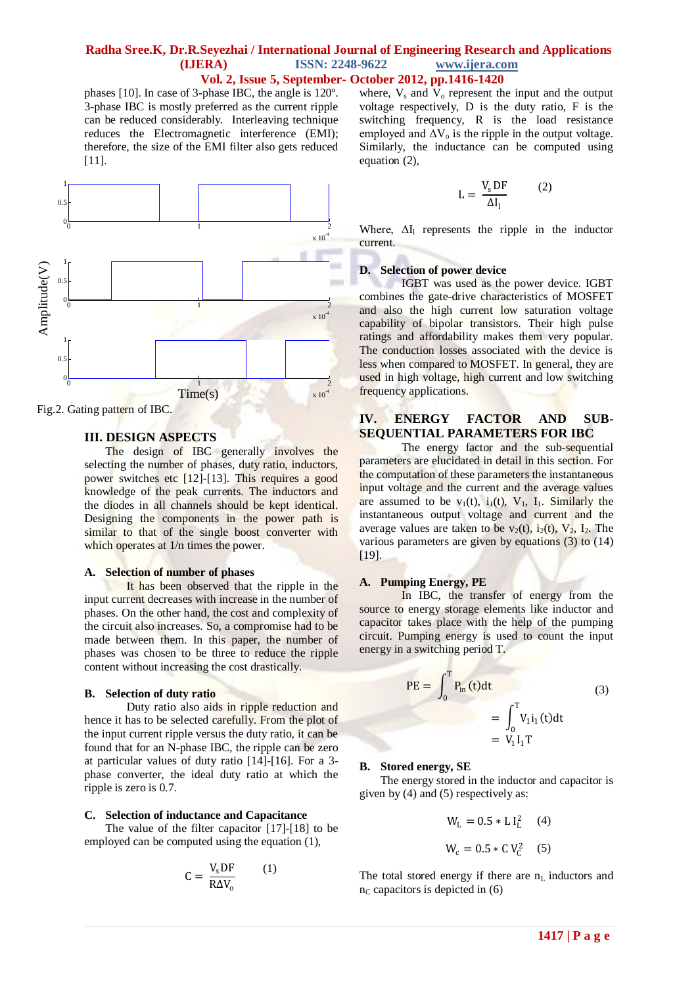## **Radha Sree.K, Dr.R.Seyezhai / International Journal of Engineering Research and Applications (IJERA) ISSN: 2248-9622 www.ijera.com Vol. 2, Issue 5, September- October 2012, pp.1416-1420**

phases [10]. In case of 3-phase IBC, the angle is 120º. 3-phase IBC is mostly preferred as the current ripple can be reduced considerably. Interleaving technique reduces the Electromagnetic interference (EMI); therefore, the size of the EMI filter also gets reduced [11].



#### Fig.2. Gating pattern of IBC.

# **III. DESIGN ASPECTS**

The design of IBC generally involves the selecting the number of phases, duty ratio, inductors, power switches etc [12]-[13]. This requires a good knowledge of the peak currents. The inductors and the diodes in all channels should be kept identical. Designing the components in the power path is similar to that of the single boost converter with which operates at  $1/n$  times the power.

#### **A. Selection of number of phases**

It has been observed that the ripple in the input current decreases with increase in the number of phases. On the other hand, the cost and complexity of the circuit also increases. So, a compromise had to be made between them. In this paper, the number of phases was chosen to be three to reduce the ripple content without increasing the cost drastically.

#### **B. Selection of duty ratio**

Duty ratio also aids in ripple reduction and hence it has to be selected carefully. From the plot of the input current ripple versus the duty ratio, it can be found that for an N-phase IBC, the ripple can be zero at particular values of duty ratio [14]-[16]. For a 3 phase converter, the ideal duty ratio at which the ripple is zero is 0.7.

### **C. Selection of inductance and Capacitance**

The value of the filter capacitor [17]-[18] to be employed can be computed using the equation (1),

$$
C = \frac{V_s DF}{R \Delta V_o}
$$
 (1)

(1)

where,  $V_s$  and  $V_o$  represent the input and the output voltage respectively, D is the duty ratio, F is the switching frequency, R is the load resistance employed and  $\Delta V_0$  is the ripple in the output voltage. Similarly, the inductance can be computed using equation (2),

$$
L = \frac{V_s DF}{\Delta I_1}
$$
 (2)

Where,  $\Delta I_1$  represents the ripple in the inductor current.

#### **D. Selection of power device**

IGBT was used as the power device. IGBT combines the gate-drive characteristics of MOSFET and also the high current low saturation voltage capability of bipolar transistors. Their high pulse ratings and affordability makes them very popular. The conduction losses associated with the device is less when compared to MOSFET. In general, they are used in high voltage, high current and low switching frequency applications.

# **IV. ENERGY FACTOR AND SUB-SEQUENTIAL PARAMETERS FOR IBC**

The energy factor and the sub-sequential parameters are elucidated in detail in this section. For the computation of these parameters the instantaneous input voltage and the current and the average values are assumed to be  $v_1(t)$ ,  $i_1(t)$ ,  $V_1$ ,  $I_1$ . Similarly the instantaneous output voltage and current and the average values are taken to be  $v_2(t)$ ,  $i_2(t)$ ,  $V_2$ ,  $I_2$ . The various parameters are given by equations (3) to (14) [19].

#### **A. Pumping Energy, PE**

In IBC, the transfer of energy from the source to energy storage elements like inductor and capacitor takes place with the help of the pumping circuit. Pumping energy is used to count the input energy in a switching period T.

$$
PE = \int_0^T P_{in}(t)dt
$$
  
= 
$$
\int_0^T V_1 i_1(t)dt
$$
  
= 
$$
V_1 l_1 T
$$
 (3)

#### **B. Stored energy, SE**

The energy stored in the inductor and capacitor is given by (4) and (5) respectively as:

$$
W_{L} = 0.5 * L I_{L}^{2} \t(4)
$$
  

$$
W_{c} = 0.5 * C V_{C}^{2} \t(5)
$$

The total stored energy if there are  $n<sub>L</sub>$  inductors and  $n<sub>C</sub>$  capacitors is depicted in (6)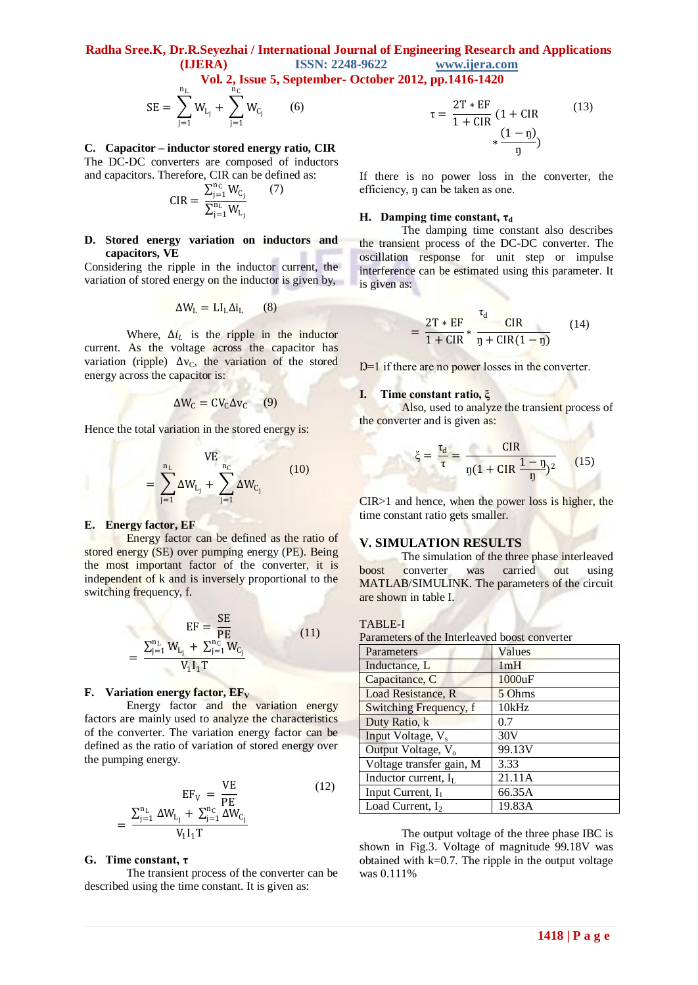**Radha Sree.K, Dr.R.Seyezhai / International Journal of Engineering Research and Applications (IJERA) ISSN: 2248-9622 www.ijera.com**

 **Vol. 2, Issue 5, September- October 2012, pp.1416-1420**

$$
SE = \sum_{j=1}^{n_L} W_{L_j} + \sum_{j=1}^{n_C} W_{C_j}
$$
 (6)

**C. Capacitor – inductor stored energy ratio, CIR**

The DC-DC converters are composed of inductors and capacitors. Therefore, CIR can be defined as:

$$
CIR = \, \frac{\sum_{j=1}^{n_C} W_{C_j}}{\sum_{j=1}^{n_L} W_{L_j}}
$$

 $(7)$ 

#### **D. Stored energy variation on inductors and capacitors, VE**

Considering the ripple in the inductor current, the variation of stored energy on the inductor is given by,

$$
\Delta W_{\rm L} = L I_{\rm L} \Delta i_{\rm L} \qquad (8)
$$

Where,  $\Delta i_L$  is the ripple in the inductor current. As the voltage across the capacitor has variation (ripple)  $\Delta v_C$ , the variation of the stored energy across the capacitor is:

$$
\Delta W_C = CV_C \Delta v_C \qquad (9)
$$

Hence the total variation in the stored energy is:

$$
VE_{n_{C} \atop j=1} \Delta W_{L_{j}} + \sum_{j=1}^{n_{C}} \Delta W_{C_{j}} \qquad (10)
$$

#### **E. Energy factor, EF**

=

Energy factor can be defined as the ratio of stored energy (SE) over pumping energy (PE). Being the most important factor of the converter, it is independent of k and is inversely proportional to the switching frequency, f.

$$
EF = \frac{SE}{PE}
$$
  
= 
$$
\frac{\sum_{j=1}^{n_L} W_{L_j} + \sum_{j=1}^{n_C} W_{C_j}}{V_1 I_1 T}
$$
 (11)

#### **F. Variation energy factor,**  $EF_V$

Energy factor and the variation energy factors are mainly used to analyze the characteristics of the converter. The variation energy factor can be defined as the ratio of variation of stored energy over the pumping energy.

$$
EF_{V} = \frac{VE}{PE}
$$
  

$$
\frac{\sum_{j=1}^{n_{L}} \Delta W_{L_{j}} + \sum_{j=1}^{n_{C}} \Delta W_{C_{j}}}{V_{1} I_{1} T}
$$
 (12)

#### **G. Time constant, τ**

=

The transient process of the converter can be described using the time constant. It is given as:

$$
\tau = \frac{2T * EF}{1 + CIR} (1 + CIR
$$
 (13)  

$$
+ \frac{(1 - \eta)}{\eta}
$$

If there is no power loss in the converter, the efficiency, ŋ can be taken as one.

#### **H. Damping time constant,**  $\tau_d$

The damping time constant also describes the transient process of the DC-DC converter. The oscillation response for unit step or impulse interference can be estimated using this parameter. It is given as:

$$
= \frac{2T * EF}{1 + CIR} * \frac{\tau_d}{\eta + CIR(1 - \eta)}
$$
(14)

Ŋ=1 if there are no power losses in the converter.

#### **I. Time constant ratio, ξ**

Also, used to analyze the transient process of the converter and is given as:

$$
\xi = \frac{\tau_{\rm d}}{\tau} = \frac{\text{CIR}}{\eta (1 + \text{CIR} \frac{1 - \eta}{\eta})^2}
$$
 (15)

CIR>1 and hence, when the power loss is higher, the time constant ratio gets smaller.

## **V. SIMULATION RESULTS**

The simulation of the three phase interleaved boost converter was carried out using MATLAB/SIMULINK. The parameters of the circuit are shown in table I.

#### TABLE-I

Parameters of the Interleaved boost converter

| Parameters                     | Values |
|--------------------------------|--------|
| Inductance, L                  | 1mH    |
| Capacitance, C                 | 1000uF |
| Load Resistance, R             | 5 Ohms |
| Switching Frequency, f         | 10kHz  |
| Duty Ratio, k                  | 0.7    |
| Input Voltage, V <sub>s</sub>  | 30V    |
| Output Voltage, V <sub>o</sub> | 99.13V |
| Voltage transfer gain, M       | 3.33   |
| Inductor current, $I_L$        | 21.11A |
| Input Current, $I_1$           | 66.35A |
| Load Current, $I_2$            | 19.83A |

The output voltage of the three phase IBC is shown in Fig.3. Voltage of magnitude 99.18V was obtained with  $k=0.7$ . The ripple in the output voltage was 0.111%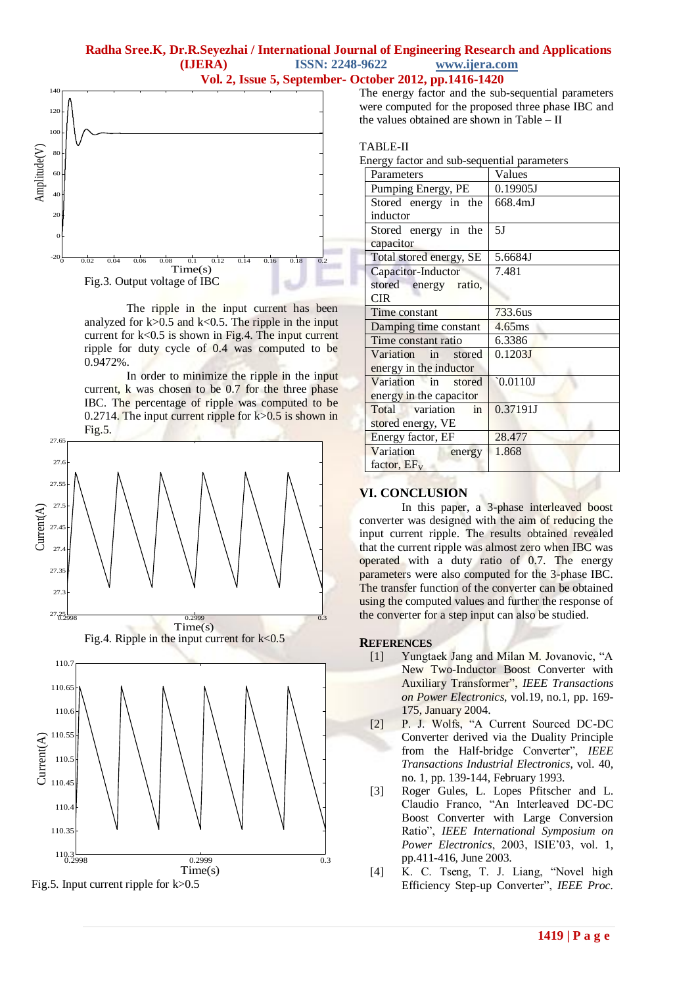# **Radha Sree.K, Dr.R.Seyezhai / International Journal of Engineering Research and Applications (IJERA) ISSN: 2248-9622 www.ijera.com Vol. 2, Issue 5, September- October 2012, pp.1416-1420**



The ripple in the input current has been analyzed for  $k > 0.5$  and  $k < 0.5$ . The ripple in the input current for k<0.5 is shown in Fig.4. The input current ripple for duty cycle of 0.4 was computed to be 0.9472%.

In order to minimize the ripple in the input current, k was chosen to be 0.7 for the three phase IBC. The percentage of ripple was computed to be 0.2714. The input current ripple for  $k > 0.5$  is shown in Fig.5.



The energy factor and the sub-sequential parameters were computed for the proposed three phase IBC and the values obtained are shown in Table – II

# TABLE-II

Energy factor and sub-sequential parameters

| Parameters              | Values            |
|-------------------------|-------------------|
| Pumping Energy, PE      | 0.19905J          |
| Stored energy in the    | 668.4mJ           |
| inductor                |                   |
| Stored energy in the    | 5J                |
| capacitor               |                   |
| Total stored energy, SE | 5.6684J           |
| Capacitor-Inductor      | 7.481             |
| stored energy ratio,    |                   |
| <b>CIR</b>              |                   |
| Time constant           | 733.6us           |
| Damping time constant   | $4.65$ ms         |
| Time constant ratio     | 6.3386            |
| Variation in stored     | 0.1203J           |
| energy in the inductor  |                   |
| Variation in<br>stored  | $\degree$ 0.0110J |
| energy in the capacitor |                   |
| Total variation<br>in   | 0.37191J          |
| stored energy, VE       |                   |
| Energy factor, EF       | 28.477            |
| Variation<br>energy     | 1.868             |
| factor, $EF_V$          |                   |

# **VI. CONCLUSION**

In this paper, a 3-phase interleaved boost converter was designed with the aim of reducing the input current ripple. The results obtained revealed that the current ripple was almost zero when IBC was operated with a duty ratio of 0.7. The energy parameters were also computed for the 3-phase IBC. The transfer function of the converter can be obtained using the computed values and further the response of the converter for a step input can also be studied.

#### **REFERENCES**

- [1] Yungtaek Jang and Milan M. Jovanovic, "A New Two-Inductor Boost Converter with Auxiliary Transformer", *IEEE Transactions on Power Electronics*, vol.19, no.1, pp. 169- 175, January 2004.
- [2] P. J. Wolfs, "A Current Sourced DC-DC Converter derived via the Duality Principle from the Half-bridge Converter", *IEEE Transactions Industrial Electronics*, vol. 40, no. 1, pp. 139-144, February 1993.
- [3] Roger Gules, L. Lopes Pfitscher and L. Claudio Franco, "An Interleaved DC-DC Boost Converter with Large Conversion Ratio", *IEEE International Symposium on Power Electronics*, 2003, ISIE'03, vol. 1, pp.411-416, June 2003.
- [4] K. C. Tseng, T. J. Liang, "Novel high Efficiency Step-up Converter", *IEEE Proc.*